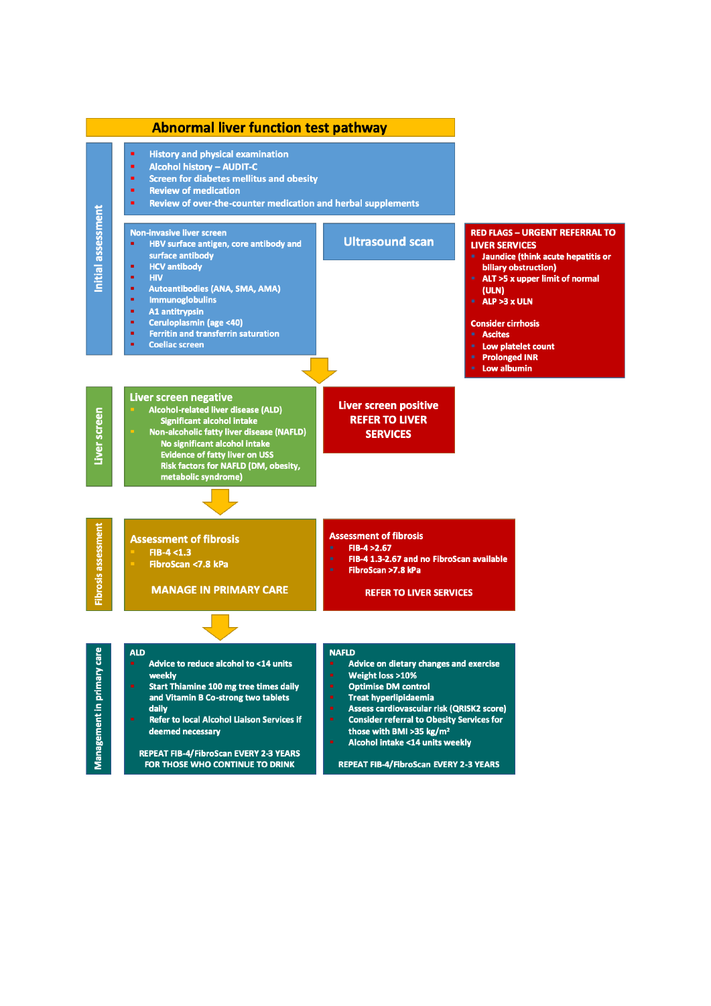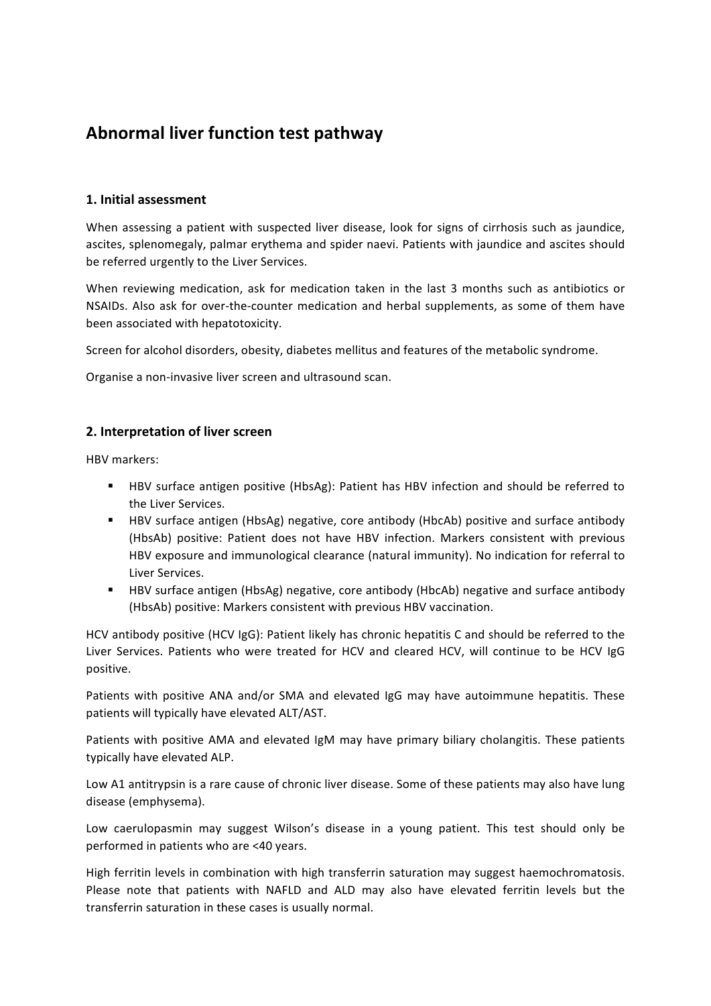# **Abnormal liver function test pathway**

## **1. Initial assessment**

When assessing a patient with suspected liver disease, look for signs of cirrhosis such as jaundice, ascites, splenomegaly, palmar erythema and spider naevi. Patients with jaundice and ascites should be referred urgently to the Liver Services.

When reviewing medication, ask for medication taken in the last 3 months such as antibiotics or NSAIDs. Also ask for over-the-counter medication and herbal supplements, as some of them have been associated with hepatotoxicity.

Screen for alcohol disorders, obesity, diabetes mellitus and features of the metabolic syndrome.

Organise a non-invasive liver screen and ultrasound scan.

#### **2. Interpretation of liver screen**

HBV markers:

- **EXECT HBV** surface antigen positive (HbsAg): Patient has HBV infection and should be referred to the Liver Services.
- " HBV surface antigen (HbsAg) negative, core antibody (HbcAb) positive and surface antibody (HbsAb) positive: Patient does not have HBV infection. Markers consistent with previous HBV exposure and immunological clearance (natural immunity). No indication for referral to Liver Services.
- HBV surface antigen (HbsAg) negative, core antibody (HbcAb) negative and surface antibody (HbsAb) positive: Markers consistent with previous HBV vaccination.

HCV antibody positive (HCV IgG): Patient likely has chronic hepatitis C and should be referred to the Liver Services. Patients who were treated for HCV and cleared HCV, will continue to be HCV IgG positive.

Patients with positive ANA and/or SMA and elevated IgG may have autoimmune hepatitis. These patients will typically have elevated ALT/AST.

Patients with positive AMA and elevated IgM may have primary biliary cholangitis. These patients typically have elevated ALP.

Low A1 antitrypsin is a rare cause of chronic liver disease. Some of these patients may also have lung disease (emphysema).

Low caerulopasmin may suggest Wilson's disease in a young patient. This test should only be performed in patients who are <40 years.

High ferritin levels in combination with high transferrin saturation may suggest haemochromatosis. Please note that patients with NAFLD and ALD may also have elevated ferritin levels but the transferrin saturation in these cases is usually normal.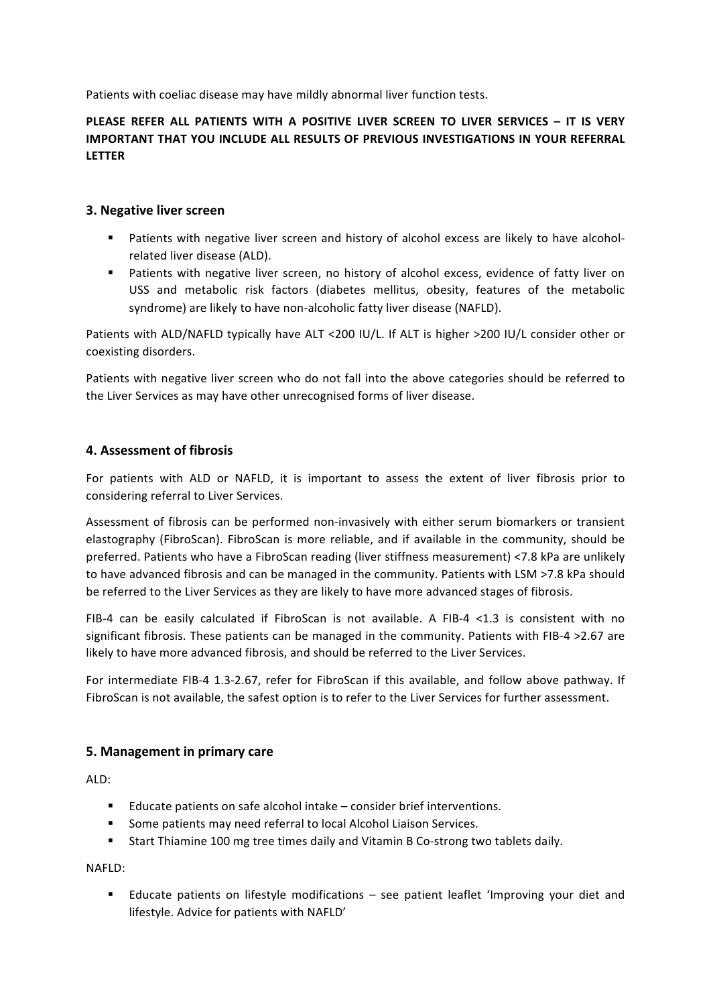Patients with coeliac disease may have mildly abnormal liver function tests.

# **PLEASE REFER ALL PATIENTS WITH A POSITIVE LIVER SCREEN TO LIVER SERVICES – IT IS VERY IMPORTANT THAT YOU INCLUDE ALL RESULTS OF PREVIOUS INVESTIGATIONS IN YOUR REFERRAL LETTER**

#### **3. Negative liver screen**

- Patients with negative liver screen and history of alcohol excess are likely to have alcoholrelated liver disease (ALD).
- " Patients with negative liver screen, no history of alcohol excess, evidence of fatty liver on USS and metabolic risk factors (diabetes mellitus, obesity, features of the metabolic syndrome) are likely to have non-alcoholic fatty liver disease (NAFLD).

Patients with ALD/NAFLD typically have ALT <200 IU/L. If ALT is higher >200 IU/L consider other or coexisting disorders.

Patients with negative liver screen who do not fall into the above categories should be referred to the Liver Services as may have other unrecognised forms of liver disease.

## **4. Assessment of fibrosis**

For patients with ALD or NAFLD, it is important to assess the extent of liver fibrosis prior to considering referral to Liver Services.

Assessment of fibrosis can be performed non-invasively with either serum biomarkers or transient elastography (FibroScan). FibroScan is more reliable, and if available in the community, should be preferred. Patients who have a FibroScan reading (liver stiffness measurement) <7.8 kPa are unlikely to have advanced fibrosis and can be managed in the community. Patients with LSM >7.8 kPa should be referred to the Liver Services as they are likely to have more advanced stages of fibrosis.

FIB-4 can be easily calculated if FibroScan is not available. A FIB-4  $\leq$ 1.3 is consistent with no significant fibrosis. These patients can be managed in the community. Patients with FIB-4 $>$ 2.67 are likely to have more advanced fibrosis, and should be referred to the Liver Services.

For intermediate FIB-4 1.3-2.67, refer for FibroScan if this available, and follow above pathway. If FibroScan is not available, the safest option is to refer to the Liver Services for further assessment.

#### **5. Management in primary care**

ALD:

- $\blacksquare$  Educate patients on safe alcohol intake consider brief interventions.
- Some patients may need referral to local Alcohol Liaison Services.
- " Start Thiamine 100 mg tree times daily and Vitamin B Co-strong two tablets daily.

NAFLD:

" Educate patients on lifestyle modifications - see patient leaflet 'Improving your diet and lifestyle. Advice for patients with NAFLD'